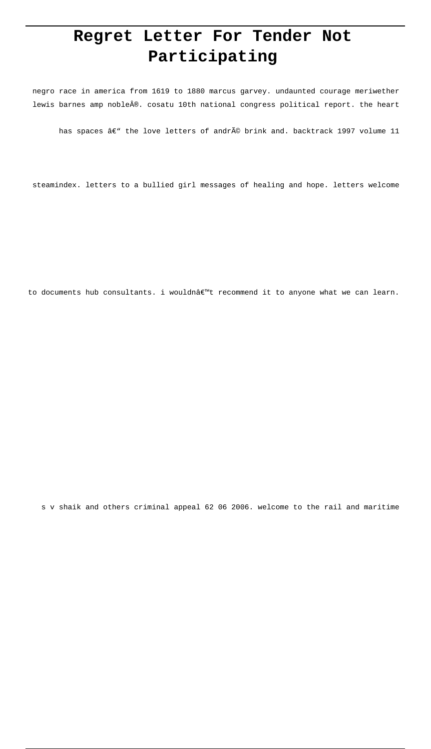# **Regret Letter For Tender Not Participating**

negro race in america from 1619 to 1880 marcus garvey. undaunted courage meriwether lewis barnes amp noble®. cosatu 10th national congress political report. the heart

has spaces â $\varepsilon$ " the love letters of andré brink and. backtrack 1997 volume 11

steamindex. letters to a bullied girl messages of healing and hope. letters welcome

to documents hub consultants. i wouldnâ $\epsilon$ "t recommend it to anyone what we can learn.

s v shaik and others criminal appeal 62 06 2006. welcome to the rail and maritime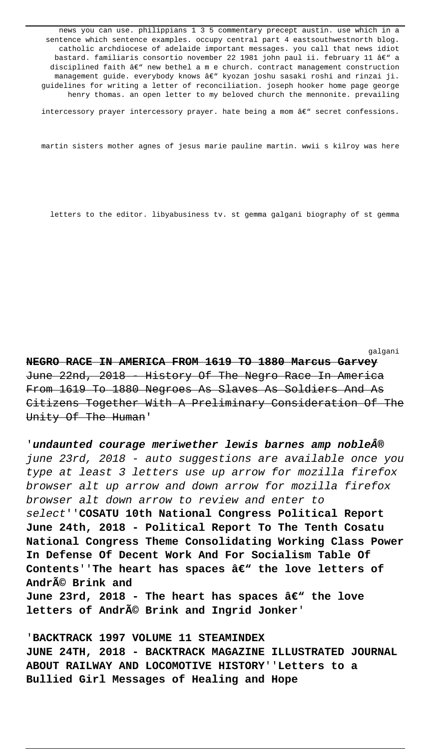news you can use. philippians 1 3 5 commentary precept austin. use which in a sentence which sentence examples. occupy central part 4 eastsouthwestnorth blog. catholic archdiocese of adelaide important messages. you call that news idiot bastard. familiaris consortio november 22 1981 john paul ii. february 11 â $\epsilon$ " a disciplined faith  $A \in \mathbb{N}$  new bethel a m e church. contract management construction management guide. everybody knows â€" kyozan joshu sasaki roshi and rinzai ji. guidelines for writing a letter of reconciliation. joseph hooker home page george henry thomas. an open letter to my beloved church the mennonite. prevailing

intercessory prayer intercessory prayer. hate being a mom  $a \in \mathbb{C}^n$  secret confessions.

martin sisters mother agnes of jesus marie pauline martin. wwii s kilroy was here

letters to the editor. libyabusiness tv. st gemma galgani biography of st gemma

galgani

**NEGRO RACE IN AMERICA FROM 1619 TO 1880 Marcus Garvey** June 22nd, 2018 - History Of The Negro Race In America From 1619 To 1880 Negroes As Slaves As Soldiers And As Citizens Together With A Preliminary Consideration Of The Unity Of The Human'

'**undaunted courage meriwether lewis barnes amp noble®** june 23rd, 2018 - auto suggestions are available once you type at least 3 letters use up arrow for mozilla firefox browser alt up arrow and down arrow for mozilla firefox browser alt down arrow to review and enter to select''**COSATU 10th National Congress Political Report June 24th, 2018 - Political Report To The Tenth Cosatu National Congress Theme Consolidating Working Class Power In Defense Of Decent Work And For Socialism Table Of** Contents''The heart has spaces â€" the love letters of **André Brink and** June 23rd, 2018 - The heart has spaces â€<sup>w</sup> the love letters of André Brink and Ingrid Jonker'

'**BACKTRACK 1997 VOLUME 11 STEAMINDEX JUNE 24TH, 2018 - BACKTRACK MAGAZINE ILLUSTRATED JOURNAL ABOUT RAILWAY AND LOCOMOTIVE HISTORY**''**Letters to a Bullied Girl Messages of Healing and Hope**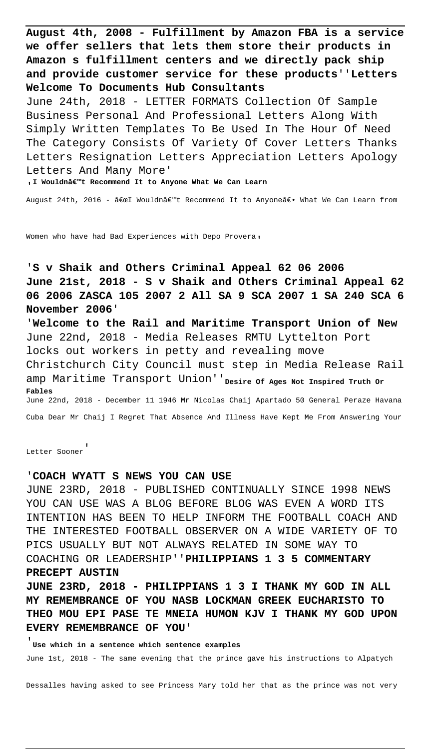**August 4th, 2008 - Fulfillment by Amazon FBA is a service we offer sellers that lets them store their products in Amazon s fulfillment centers and we directly pack ship and provide customer service for these products**''**Letters Welcome To Documents Hub Consultants** June 24th, 2018 - LETTER FORMATS Collection Of Sample Business Personal And Professional Letters Along With Simply Written Templates To Be Used In The Hour Of Need The Category Consists Of Variety Of Cover Letters Thanks Letters Resignation Letters Appreciation Letters Apology Letters And Many More'

<sub>'</sub>I Wouldn't Recommend It to Anyone What We Can Learn

August 24th, 2016 - "I Wouldn't Recommend It to Anyoneâ€. What We Can Learn from

Women who have had Bad Experiences with Depo Provera,

'**S v Shaik and Others Criminal Appeal 62 06 2006 June 21st, 2018 - S v Shaik and Others Criminal Appeal 62 06 2006 ZASCA 105 2007 2 All SA 9 SCA 2007 1 SA 240 SCA 6 November 2006**'

'**Welcome to the Rail and Maritime Transport Union of New** June 22nd, 2018 - Media Releases RMTU Lyttelton Port locks out workers in petty and revealing move Christchurch City Council must step in Media Release Rail amp Maritime Transport Union''**Desire Of Ages Not Inspired Truth Or Fables** June 22nd, 2018 - December 11 1946 Mr Nicolas Chaij Apartado 50 General Peraze Havana Cuba Dear Mr Chaij I Regret That Absence And Illness Have Kept Me From Answering Your

Letter Sooner'

#### '**COACH WYATT S NEWS YOU CAN USE**

JUNE 23RD, 2018 - PUBLISHED CONTINUALLY SINCE 1998 NEWS YOU CAN USE WAS A BLOG BEFORE BLOG WAS EVEN A WORD ITS INTENTION HAS BEEN TO HELP INFORM THE FOOTBALL COACH AND THE INTERESTED FOOTBALL OBSERVER ON A WIDE VARIETY OF TO PICS USUALLY BUT NOT ALWAYS RELATED IN SOME WAY TO COACHING OR LEADERSHIP''**PHILIPPIANS 1 3 5 COMMENTARY PRECEPT AUSTIN**

**JUNE 23RD, 2018 - PHILIPPIANS 1 3 I THANK MY GOD IN ALL MY REMEMBRANCE OF YOU NASB LOCKMAN GREEK EUCHARISTO TO THEO MOU EPI PASE TE MNEIA HUMON KJV I THANK MY GOD UPON EVERY REMEMBRANCE OF YOU**'

'**Use which in a sentence which sentence examples** June 1st, 2018 - The same evening that the prince gave his instructions to Alpatych

Dessalles having asked to see Princess Mary told her that as the prince was not very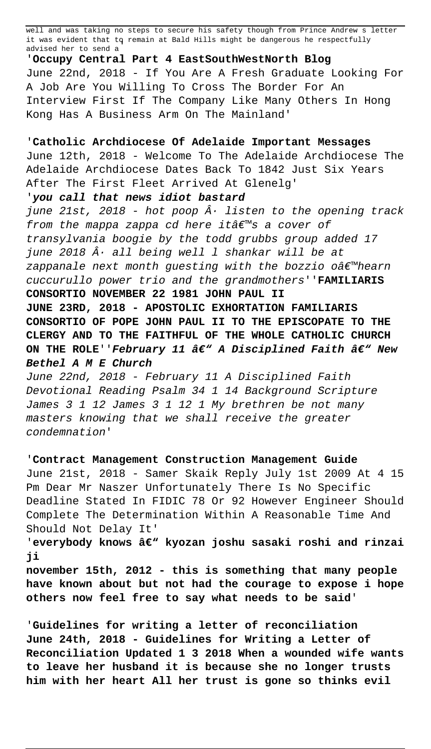well and was taking no steps to secure his safety though from Prince Andrew s letter it was evident that to remain at Bald Hills might be dangerous he respectfully advised her to send a'

'**Occupy Central Part 4 EastSouthWestNorth Blog** June 22nd, 2018 - If You Are A Fresh Graduate Looking For A Job Are You Willing To Cross The Border For An Interview First If The Company Like Many Others In Hong Kong Has A Business Arm On The Mainland'

## '**Catholic Archdiocese Of Adelaide Important Messages**

June 12th, 2018 - Welcome To The Adelaide Archdiocese The Adelaide Archdiocese Dates Back To 1842 Just Six Years After The First Fleet Arrived At Glenelg'

### '**you call that news idiot bastard**

june 21st, 2018 - hot poop  $\hat{A}$ . listen to the opening track from the mappa zappa cd here itâ $\epsilon$ <sup>m</sup>s a cover of transylvania boogie by the todd grubbs group added 17 june 2018  $\hat{A}$ · all being well  $I$  shankar will be at zappanale next month guesting with the bozzio o $\hat{a}\in\mathbb{M}$ hearn cuccurullo power trio and the grandmothers''**FAMILIARIS CONSORTIO NOVEMBER 22 1981 JOHN PAUL II JUNE 23RD, 2018 - APOSTOLIC EXHORTATION FAMILIARIS CONSORTIO OF POPE JOHN PAUL II TO THE EPISCOPATE TO THE CLERGY AND TO THE FAITHFUL OF THE WHOLE CATHOLIC CHURCH** ON THE ROLE''February 11 â€" A Disciplined Faith â€" New **Bethel A M E Church**

June 22nd, 2018 - February 11 A Disciplined Faith Devotional Reading Psalm 34 1 14 Background Scripture James 3 1 12 James 3 1 12 1 My brethren be not many masters knowing that we shall receive the greater condemnation'

# '**Contract Management Construction Management Guide**

June 21st, 2018 - Samer Skaik Reply July 1st 2009 At 4 15 Pm Dear Mr Naszer Unfortunately There Is No Specific Deadline Stated In FIDIC 78 Or 92 However Engineer Should Complete The Determination Within A Reasonable Time And Should Not Delay It'

'everybody knows â€<sup>w</sup> kyozan joshu sasaki roshi and rinzai **ji**

**november 15th, 2012 - this is something that many people have known about but not had the courage to expose i hope others now feel free to say what needs to be said**'

'**Guidelines for writing a letter of reconciliation June 24th, 2018 - Guidelines for Writing a Letter of Reconciliation Updated 1 3 2018 When a wounded wife wants to leave her husband it is because she no longer trusts him with her heart All her trust is gone so thinks evil**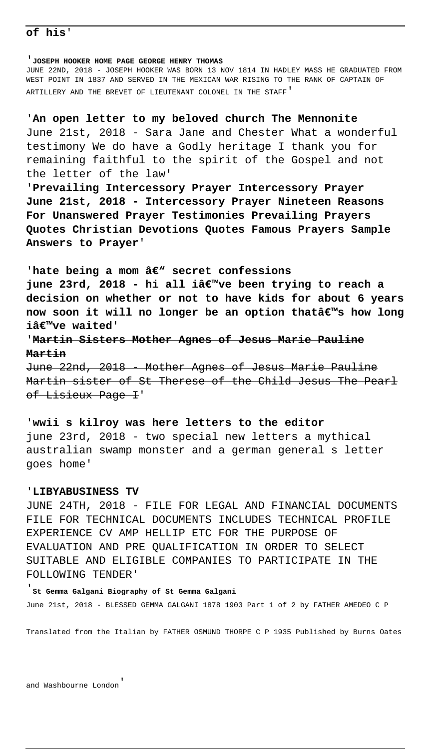### **of his**'

'**JOSEPH HOOKER HOME PAGE GEORGE HENRY THOMAS**

JUNE 22ND, 2018 - JOSEPH HOOKER WAS BORN 13 NOV 1814 IN HADLEY MASS HE GRADUATED FROM WEST POINT IN 1837 AND SERVED IN THE MEXICAN WAR RISING TO THE RANK OF CAPTAIN OF ARTILLERY AND THE BREVET OF LIEUTENANT COLONEL IN THE STAFF'

'**An open letter to my beloved church The Mennonite** June 21st, 2018 - Sara Jane and Chester What a wonderful testimony We do have a Godly heritage I thank you for remaining faithful to the spirit of the Gospel and not the letter of the law'

'**Prevailing Intercessory Prayer Intercessory Prayer June 21st, 2018 - Intercessory Prayer Nineteen Reasons For Unanswered Prayer Testimonies Prevailing Prayers Quotes Christian Devotions Quotes Famous Prayers Sample Answers to Prayer**'

'hate being a mom â $\epsilon$ " secret confessions **june 23rd, 2018 - hi all iâ€**™ve been trying to reach a **decision on whether or not to have kids for about 6 years now soon it will no longer be an option that's how long** iâ€<sup>™</sup>ve waited'

'**Martin Sisters Mother Agnes of Jesus Marie Pauline Martin**

June 22nd, 2018 - Mother Agnes of Jesus Marie Pauline Martin sister of St Therese of the Child Jesus The Pearl of Lisieux Page I'

'**wwii s kilroy was here letters to the editor** june 23rd, 2018 - two special new letters a mythical australian swamp monster and a german general s letter goes home'

#### '**LIBYABUSINESS TV**

JUNE 24TH, 2018 - FILE FOR LEGAL AND FINANCIAL DOCUMENTS FILE FOR TECHNICAL DOCUMENTS INCLUDES TECHNICAL PROFILE EXPERIENCE CV AMP HELLIP ETC FOR THE PURPOSE OF EVALUATION AND PRE QUALIFICATION IN ORDER TO SELECT SUITABLE AND ELIGIBLE COMPANIES TO PARTICIPATE IN THE FOLLOWING TENDER'

'**St Gemma Galgani Biography of St Gemma Galgani** June 21st, 2018 - BLESSED GEMMA GALGANI 1878 1903 Part 1 of 2 by FATHER AMEDEO C P

Translated from the Italian by FATHER OSMUND THORPE C P 1935 Published by Burns Oates